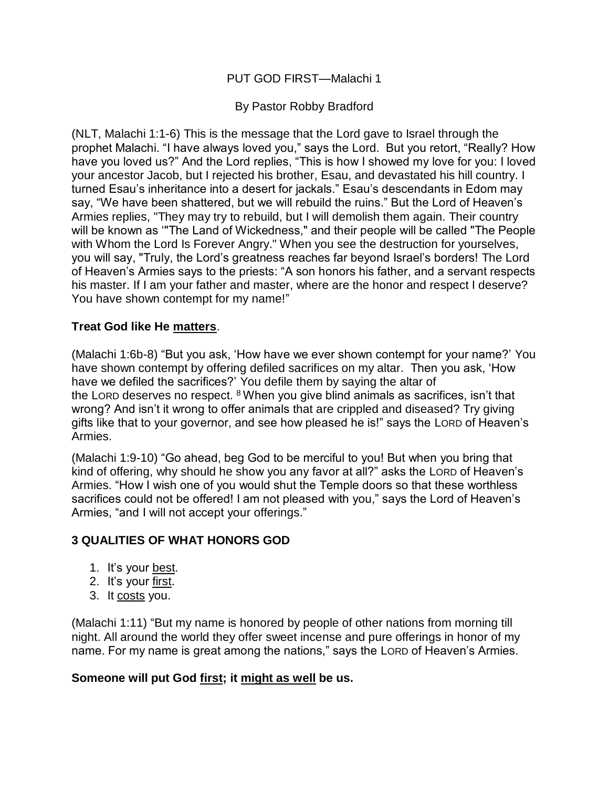## PUT GOD FIRST—Malachi 1

## By Pastor Robby Bradford

(NLT, Malachi 1:1-6) This is the message that the Lord gave to Israel through the prophet Malachi. "I have always loved you," says the Lord. But you retort, "Really? How have you loved us?" And the Lord replies, "This is how I showed my love for you: I loved your ancestor Jacob, but I rejected his brother, Esau, and devastated his hill country. I turned Esau's inheritance into a desert for jackals." Esau's descendants in Edom may say, "We have been shattered, but we will rebuild the ruins." But the Lord of Heaven's Armies replies, "They may try to rebuild, but I will demolish them again. Their country will be known as '"The Land of Wickedness," and their people will be called "The People with Whom the Lord Is Forever Angry." When you see the destruction for yourselves, you will say, "Truly, the Lord's greatness reaches far beyond Israel's borders! The Lord of Heaven's Armies says to the priests: "A son honors his father, and a servant respects his master. If I am your father and master, where are the honor and respect I deserve? You have shown contempt for my name!"

## **Treat God like He matters**.

(Malachi 1:6b-8) "But you ask, 'How have we ever shown contempt for your name?' You have shown contempt by offering defiled sacrifices on my altar. Then you ask, 'How have we defiled the sacrifices?' You defile them by saying the altar of the LORD deserves no respect.  $8$  When you give blind animals as sacrifices, isn't that wrong? And isn't it wrong to offer animals that are crippled and diseased? Try giving gifts like that to your governor, and see how pleased he is!" says the LORD of Heaven's Armies.

(Malachi 1:9-10) "Go ahead, beg God to be merciful to you! But when you bring that kind of offering, why should he show you any favor at all?" asks the LORD of Heaven's Armies. "How I wish one of you would shut the Temple doors so that these worthless sacrifices could not be offered! I am not pleased with you," says the Lord of Heaven's Armies, "and I will not accept your offerings."

# **3 QUALITIES OF WHAT HONORS GOD**

- 1. It's your best.
- 2. It's your first.
- 3. It costs you.

(Malachi 1:11) "But my name is honored by people of other nations from morning till night. All around the world they offer sweet incense and pure offerings in honor of my name. For my name is great among the nations," says the LORD of Heaven's Armies.

#### **Someone will put God first; it might as well be us.**